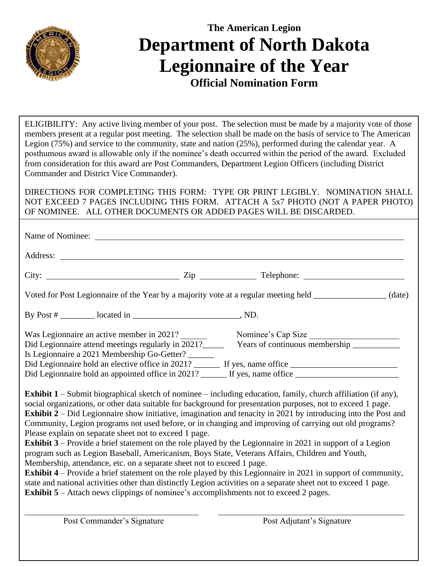

## **The American Legion Department of North Dakota Legionnaire of the Year Official Nomination Form**

ELIGIBILITY: Any active living member of your post. The selection must be made by a majority vote of those members present at a regular post meeting. The selection shall be made on the basis of service to The American Legion (75%) and service to the community, state and nation (25%), performed during the calendar year. A posthumous award is allowable only if the nominee's death occurred within the period of the award. Excluded from consideration for this award are Post Commanders, Department Legion Officers (including District Commander and District Vice Commander).

DIRECTIONS FOR COMPLETING THIS FORM: TYPE OR PRINT LEGIBLY. NOMINATION SHALL NOT EXCEED 7 PAGES INCLUDING THIS FORM. ATTACH A 5x7 PHOTO (NOT A PAPER PHOTO) OF NOMINEE. ALL OTHER DOCUMENTS OR ADDED PAGES WILL BE DISCARDED.

|                                                                                                                                                                                                                               | Address: <u>Note</u> that the same of the same of the same of the same of the same of the same of the same of the same of the same of the same of the same of the same of the same of the same of the same of the same of the same |                                                                                                                                                                                                 |  |
|-------------------------------------------------------------------------------------------------------------------------------------------------------------------------------------------------------------------------------|------------------------------------------------------------------------------------------------------------------------------------------------------------------------------------------------------------------------------------|-------------------------------------------------------------------------------------------------------------------------------------------------------------------------------------------------|--|
|                                                                                                                                                                                                                               |                                                                                                                                                                                                                                    | City: $\_\_\_\_\_\_\_\_\_\_\_\_\_\_$ $\_\_\_\_\_\_\_\_\_\_\_\_\_\_$ $\_\_\_\_\_\_\_\_\_\_$ $\_\_\_\_\_\_\_\_\_$ $\_\_\_\_\_\_$ $\_\_\_\_\_\_$ $\_\_\_\_\_$ $\_\_\_\_\_$ $\_\_\_\_\_$ $\_\_\_\_$ |  |
| Voted for Post Legionnaire of the Year by a majority vote at a regular meeting held _______________ (date)                                                                                                                    |                                                                                                                                                                                                                                    |                                                                                                                                                                                                 |  |
|                                                                                                                                                                                                                               |                                                                                                                                                                                                                                    |                                                                                                                                                                                                 |  |
| Was Legionnaire an active member in 2021?<br>Was Legionnaire an active member in 2021?<br>Did Legionnaire attend meetings regularly in 2021?<br>Tears of continuous membership<br>Is Legionnaire a 2021 Membership Go-Getter? |                                                                                                                                                                                                                                    |                                                                                                                                                                                                 |  |
|                                                                                                                                                                                                                               |                                                                                                                                                                                                                                    | Did Legionnaire hold an appointed office in 2021? ______ If yes, name office _________________________________                                                                                  |  |

**Exhibit 1** – Submit biographical sketch of nominee – including education, family, church affiliation (if any), social organizations, or other data suitable for background for presentation purposes, not to exceed 1 page. **Exhibit 2** – Did Legionnaire show initiative, imagination and tenacity in 2021 by introducing into the Post and Community, Legion programs not used before, or in changing and improving of carrying out old programs? Please explain on separate sheet not to exceed 1 page.

**Exhibit 3** – Provide a brief statement on the role played by the Legionnaire in 2021 in support of a Legion program such as Legion Baseball, Americanism, Boys State, Veterans Affairs, Children and Youth, Membership, attendance, etc. on a separate sheet not to exceed 1 page.

**Exhibit 4** – Provide a brief statement on the role played by this Legionnaire in 2021 in support of community, state and national activities other than distinctly Legion activities on a separate sheet not to exceed 1 page. **Exhibit 5** – Attach news clippings of nominee's accomplishments not to exceed 2 pages.